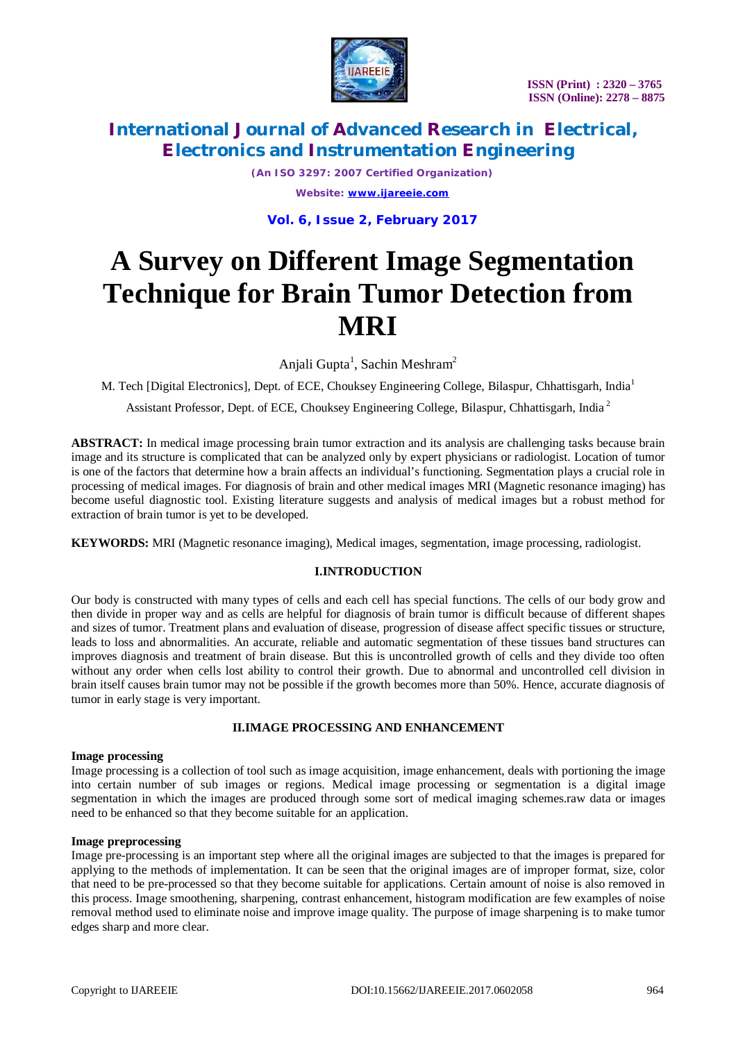

# **International Journal of Advanced Research in Electrical, Electronics and Instrumentation Engineering**

*(An ISO 3297: 2007 Certified Organization) Website: [www.ijareeie.com](http://www.ijareeie.com)*

**Vol. 6, Issue 2, February 2017**

# **A Survey on Different Image Segmentation Technique for Brain Tumor Detection from MRI**

Anjali Gupta<sup>1</sup>, Sachin Meshram<sup>2</sup>

M. Tech [Digital Electronics], Dept. of ECE, Chouksey Engineering College, Bilaspur, Chhattisgarh, India<sup>1</sup>

Assistant Professor, Dept. of ECE, Chouksey Engineering College, Bilaspur, Chhattisgarh, India <sup>2</sup>

**ABSTRACT:** In medical image processing brain tumor extraction and its analysis are challenging tasks because brain image and its structure is complicated that can be analyzed only by expert physicians or radiologist. Location of tumor is one of the factors that determine how a brain affects an individual's functioning. Segmentation plays a crucial role in processing of medical images. For diagnosis of brain and other medical images MRI (Magnetic resonance imaging) has become useful diagnostic tool. Existing literature suggests and analysis of medical images but a robust method for extraction of brain tumor is yet to be developed.

**KEYWORDS:** MRI (Magnetic resonance imaging), Medical images, segmentation, image processing, radiologist.

# **I.INTRODUCTION**

Our body is constructed with many types of cells and each cell has special functions. The cells of our body grow and then divide in proper way and as cells are helpful for diagnosis of brain tumor is difficult because of different shapes and sizes of tumor. Treatment plans and evaluation of disease, progression of disease affect specific tissues or structure, leads to loss and abnormalities. An accurate, reliable and automatic segmentation of these tissues band structures can improves diagnosis and treatment of brain disease. But this is uncontrolled growth of cells and they divide too often without any order when cells lost ability to control their growth. Due to abnormal and uncontrolled cell division in brain itself causes brain tumor may not be possible if the growth becomes more than 50%. Hence, accurate diagnosis of tumor in early stage is very important.

# **II.IMAGE PROCESSING AND ENHANCEMENT**

## **Image processing**

Image processing is a collection of tool such as image acquisition, image enhancement, deals with portioning the image into certain number of sub images or regions. Medical image processing or segmentation is a digital image segmentation in which the images are produced through some sort of medical imaging schemes.raw data or images need to be enhanced so that they become suitable for an application.

## **Image preprocessing**

Image pre-processing is an important step where all the original images are subjected to that the images is prepared for applying to the methods of implementation. It can be seen that the original images are of improper format, size, color that need to be pre-processed so that they become suitable for applications. Certain amount of noise is also removed in this process. Image smoothening, sharpening, contrast enhancement, histogram modification are few examples of noise removal method used to eliminate noise and improve image quality. The purpose of image sharpening is to make tumor edges sharp and more clear.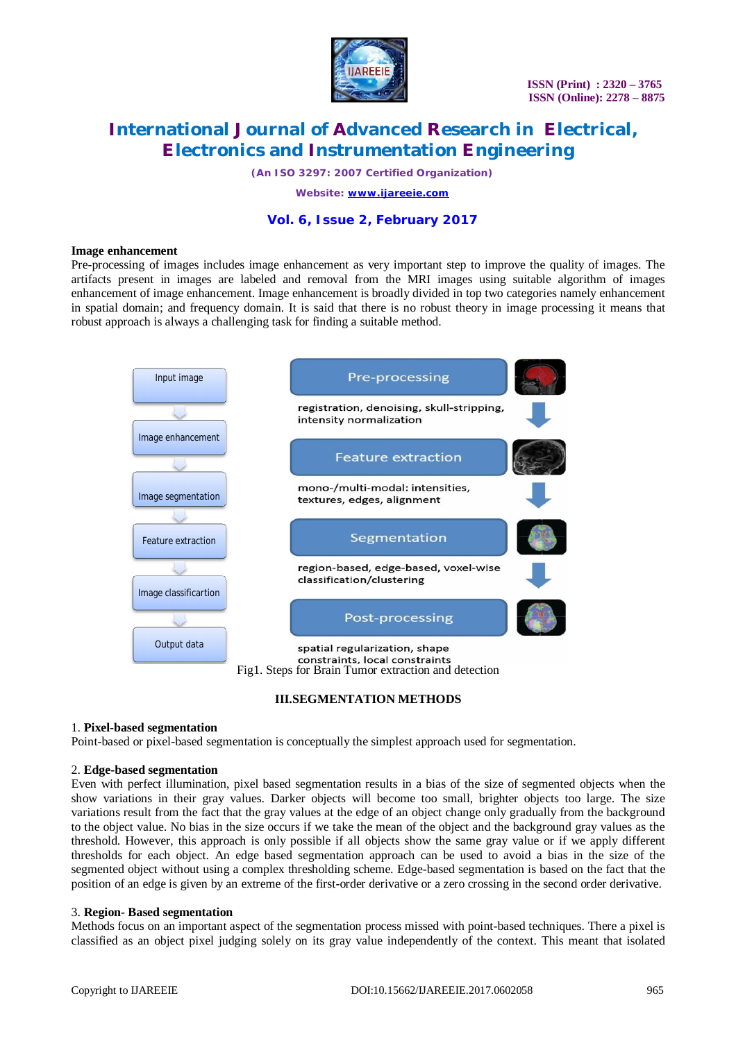

# **International Journal of Advanced Research in Electrical, Electronics and Instrumentation Engineering**

*(An ISO 3297: 2007 Certified Organization)*

*Website: [www.ijareeie.com](http://www.ijareeie.com)*

# **Vol. 6, Issue 2, February 2017**

#### **Image enhancement**

Pre-processing of images includes image enhancement as very important step to improve the quality of images. The artifacts present in images are labeled and removal from the MRI images using suitable algorithm of images enhancement of image enhancement. Image enhancement is broadly divided in top two categories namely enhancement in spatial domain; and frequency domain. It is said that there is no robust theory in image processing it means that robust approach is always a challenging task for finding a suitable method.



#### **III.SEGMENTATION METHODS**

#### 1. **Pixel-based segmentation**

Point-based or pixel-based segmentation is conceptually the simplest approach used for segmentation.

#### 2. **Edge-based segmentation**

Even with perfect illumination, pixel based segmentation results in a bias of the size of segmented objects when the show variations in their gray values. Darker objects will become too small, brighter objects too large. The size variations result from the fact that the gray values at the edge of an object change only gradually from the background to the object value. No bias in the size occurs if we take the mean of the object and the background gray values as the threshold. However, this approach is only possible if all objects show the same gray value or if we apply different thresholds for each object. An edge based segmentation approach can be used to avoid a bias in the size of the segmented object without using a complex thresholding scheme. Edge-based segmentation is based on the fact that the position of an edge is given by an extreme of the first-order derivative or a zero crossing in the second order derivative.

#### 3. **Region- Based segmentation**

Methods focus on an important aspect of the segmentation process missed with point-based techniques. There a pixel is classified as an object pixel judging solely on its gray value independently of the context. This meant that isolated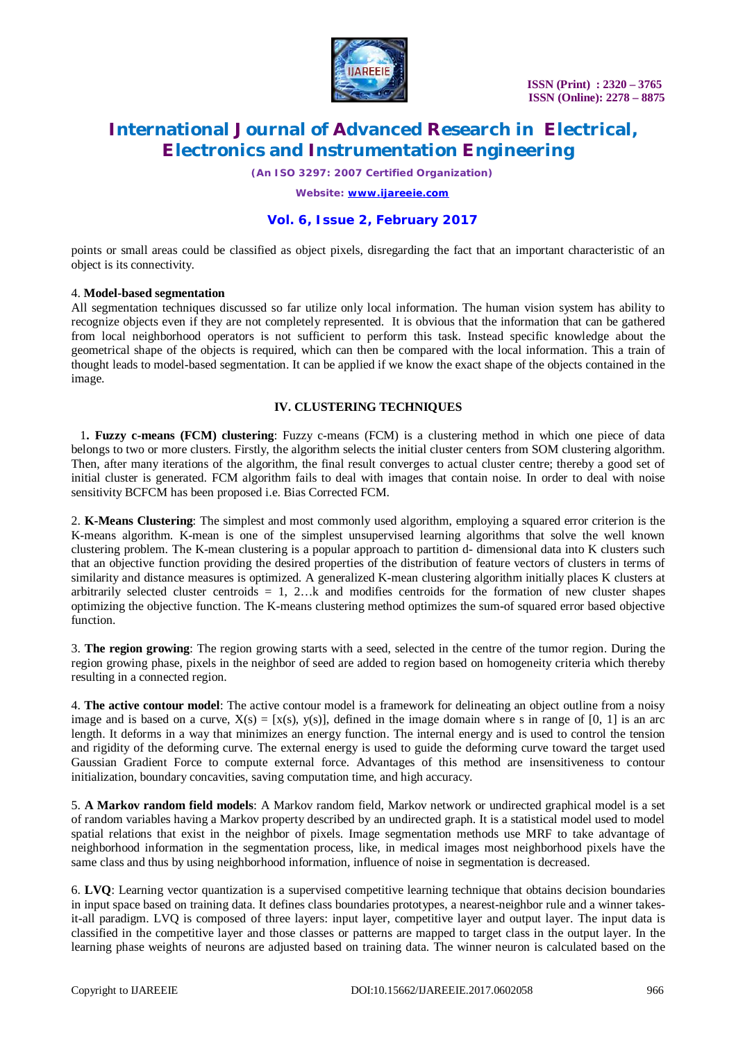

# **International Journal of Advanced Research in Electrical, Electronics and Instrumentation Engineering**

*(An ISO 3297: 2007 Certified Organization)*

*Website: [www.ijareeie.com](http://www.ijareeie.com)*

# **Vol. 6, Issue 2, February 2017**

points or small areas could be classified as object pixels, disregarding the fact that an important characteristic of an object is its connectivity.

## 4. **Model-based segmentation**

All segmentation techniques discussed so far utilize only local information. The human vision system has ability to recognize objects even if they are not completely represented. It is obvious that the information that can be gathered from local neighborhood operators is not sufficient to perform this task. Instead specific knowledge about the geometrical shape of the objects is required, which can then be compared with the local information. This a train of thought leads to model-based segmentation. It can be applied if we know the exact shape of the objects contained in the image.

## **IV. CLUSTERING TECHNIQUES**

1**. Fuzzy c-means (FCM) clustering**: Fuzzy c-means (FCM) is a clustering method in which one piece of data belongs to two or more clusters. Firstly, the algorithm selects the initial cluster centers from SOM clustering algorithm. Then, after many iterations of the algorithm, the final result converges to actual cluster centre; thereby a good set of initial cluster is generated. FCM algorithm fails to deal with images that contain noise. In order to deal with noise sensitivity BCFCM has been proposed i.e. Bias Corrected FCM.

2. **K-Means Clustering**: The simplest and most commonly used algorithm, employing a squared error criterion is the K-means algorithm. K-mean is one of the simplest unsupervised learning algorithms that solve the well known clustering problem. The K-mean clustering is a popular approach to partition d- dimensional data into K clusters such that an objective function providing the desired properties of the distribution of feature vectors of clusters in terms of similarity and distance measures is optimized. A generalized K-mean clustering algorithm initially places K clusters at arbitrarily selected cluster centroids  $= 1, 2...$  and modifies centroids for the formation of new cluster shapes optimizing the objective function. The K-means clustering method optimizes the sum-of squared error based objective function.

3. **The region growing**: The region growing starts with a seed, selected in the centre of the tumor region. During the region growing phase, pixels in the neighbor of seed are added to region based on homogeneity criteria which thereby resulting in a connected region.

4. **The active contour model**: The active contour model is a framework for delineating an object outline from a noisy image and is based on a curve,  $X(s) = [x(s), y(s)]$ , defined in the image domain where s in range of [0, 1] is an arc length. It deforms in a way that minimizes an energy function. The internal energy and is used to control the tension and rigidity of the deforming curve. The external energy is used to guide the deforming curve toward the target used Gaussian Gradient Force to compute external force. Advantages of this method are insensitiveness to contour initialization, boundary concavities, saving computation time, and high accuracy.

5. **A Markov random field models**: A Markov random field, Markov network or undirected graphical model is a set of random variables having a Markov property described by an undirected graph. It is a statistical model used to model spatial relations that exist in the neighbor of pixels. Image segmentation methods use MRF to take advantage of neighborhood information in the segmentation process, like, in medical images most neighborhood pixels have the same class and thus by using neighborhood information, influence of noise in segmentation is decreased.

6. **LVQ**: Learning vector quantization is a supervised competitive learning technique that obtains decision boundaries in input space based on training data. It defines class boundaries prototypes, a nearest-neighbor rule and a winner takesit-all paradigm. LVQ is composed of three layers: input layer, competitive layer and output layer. The input data is classified in the competitive layer and those classes or patterns are mapped to target class in the output layer. In the learning phase weights of neurons are adjusted based on training data. The winner neuron is calculated based on the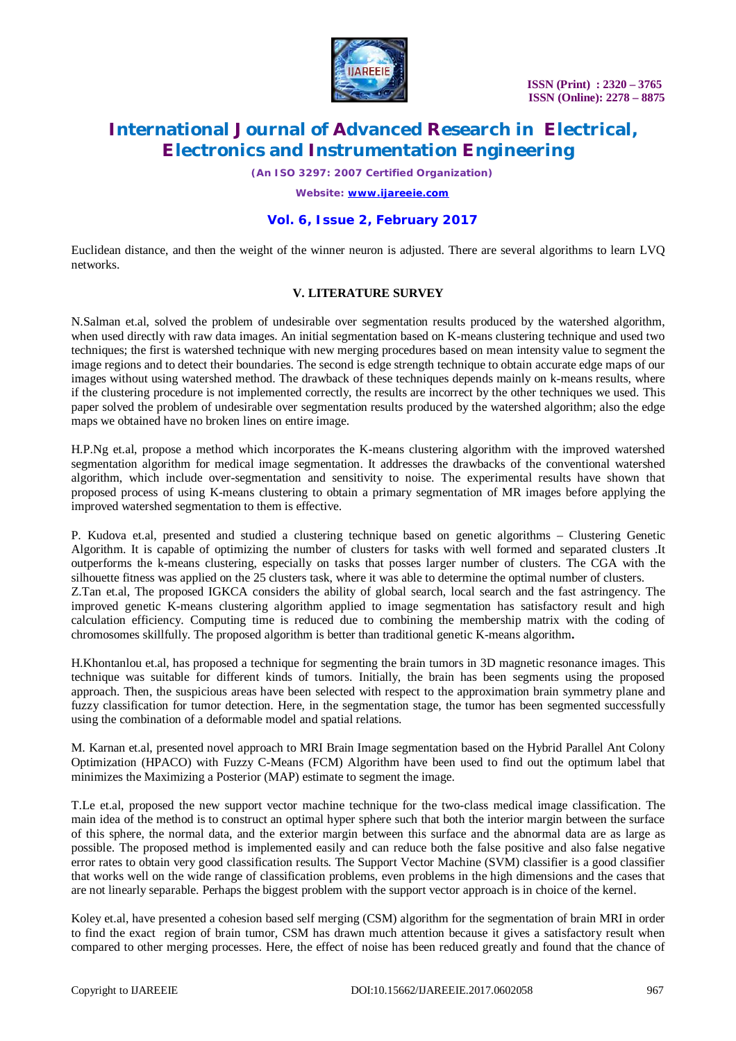

# **International Journal of Advanced Research in Electrical, Electronics and Instrumentation Engineering**

*(An ISO 3297: 2007 Certified Organization)*

*Website: [www.ijareeie.com](http://www.ijareeie.com)*

# **Vol. 6, Issue 2, February 2017**

Euclidean distance, and then the weight of the winner neuron is adjusted. There are several algorithms to learn LVQ networks.

# **V. LITERATURE SURVEY**

N.Salman et.al, solved the problem of undesirable over segmentation results produced by the watershed algorithm, when used directly with raw data images. An initial segmentation based on K-means clustering technique and used two techniques; the first is watershed technique with new merging procedures based on mean intensity value to segment the image regions and to detect their boundaries. The second is edge strength technique to obtain accurate edge maps of our images without using watershed method. The drawback of these techniques depends mainly on k-means results, where if the clustering procedure is not implemented correctly, the results are incorrect by the other techniques we used. This paper solved the problem of undesirable over segmentation results produced by the watershed algorithm; also the edge maps we obtained have no broken lines on entire image.

H.P.Ng et.al, propose a method which incorporates the K-means clustering algorithm with the improved watershed segmentation algorithm for medical image segmentation. It addresses the drawbacks of the conventional watershed algorithm, which include over-segmentation and sensitivity to noise. The experimental results have shown that proposed process of using K-means clustering to obtain a primary segmentation of MR images before applying the improved watershed segmentation to them is effective.

P. Kudova et.al, presented and studied a clustering technique based on genetic algorithms – Clustering Genetic Algorithm. It is capable of optimizing the number of clusters for tasks with well formed and separated clusters .It outperforms the k-means clustering, especially on tasks that posses larger number of clusters. The CGA with the silhouette fitness was applied on the 25 clusters task, where it was able to determine the optimal number of clusters. Z.Tan et.al, The proposed IGKCA considers the ability of global search, local search and the fast astringency. The improved genetic K-means clustering algorithm applied to image segmentation has satisfactory result and high calculation efficiency. Computing time is reduced due to combining the membership matrix with the coding of chromosomes skillfully. The proposed algorithm is better than traditional genetic K-means algorithm**.**

H.Khontanlou et.al, has proposed a technique for segmenting the brain tumors in 3D magnetic resonance images. This technique was suitable for different kinds of tumors. Initially, the brain has been segments using the proposed approach. Then, the suspicious areas have been selected with respect to the approximation brain symmetry plane and fuzzy classification for tumor detection. Here, in the segmentation stage, the tumor has been segmented successfully using the combination of a deformable model and spatial relations.

M. Karnan et.al, presented novel approach to MRI Brain Image segmentation based on the Hybrid Parallel Ant Colony Optimization (HPACO) with Fuzzy C-Means (FCM) Algorithm have been used to find out the optimum label that minimizes the Maximizing a Posterior (MAP) estimate to segment the image.

T.Le et.al, proposed the new support vector machine technique for the two-class medical image classification. The main idea of the method is to construct an optimal hyper sphere such that both the interior margin between the surface of this sphere, the normal data, and the exterior margin between this surface and the abnormal data are as large as possible. The proposed method is implemented easily and can reduce both the false positive and also false negative error rates to obtain very good classification results. The Support Vector Machine (SVM) classifier is a good classifier that works well on the wide range of classification problems, even problems in the high dimensions and the cases that are not linearly separable. Perhaps the biggest problem with the support vector approach is in choice of the kernel.

Koley et.al, have presented a cohesion based self merging (CSM) algorithm for the segmentation of brain MRI in order to find the exact region of brain tumor, CSM has drawn much attention because it gives a satisfactory result when compared to other merging processes. Here, the effect of noise has been reduced greatly and found that the chance of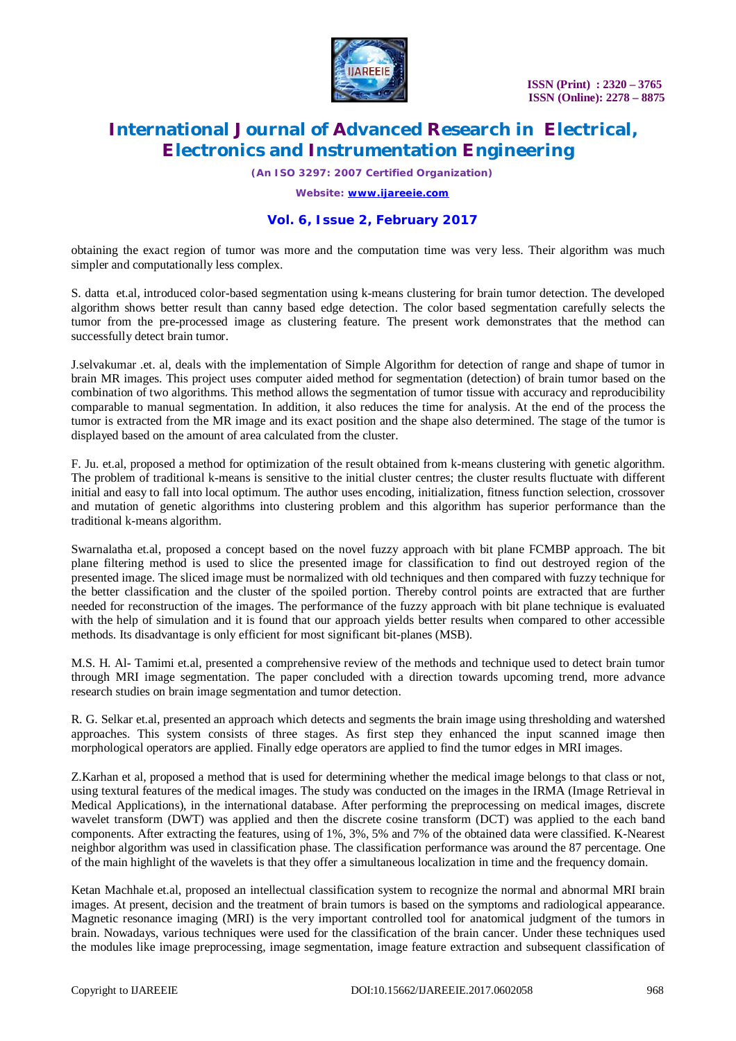

# **International Journal of Advanced Research in Electrical, Electronics and Instrumentation Engineering**

*(An ISO 3297: 2007 Certified Organization)*

*Website: [www.ijareeie.com](http://www.ijareeie.com)*

# **Vol. 6, Issue 2, February 2017**

obtaining the exact region of tumor was more and the computation time was very less. Their algorithm was much simpler and computationally less complex.

S. datta et.al, introduced color-based segmentation using k-means clustering for brain tumor detection. The developed algorithm shows better result than canny based edge detection. The color based segmentation carefully selects the tumor from the pre-processed image as clustering feature. The present work demonstrates that the method can successfully detect brain tumor.

J.selvakumar .et. al, deals with the implementation of Simple Algorithm for detection of range and shape of tumor in brain MR images. This project uses computer aided method for segmentation (detection) of brain tumor based on the combination of two algorithms. This method allows the segmentation of tumor tissue with accuracy and reproducibility comparable to manual segmentation. In addition, it also reduces the time for analysis. At the end of the process the tumor is extracted from the MR image and its exact position and the shape also determined. The stage of the tumor is displayed based on the amount of area calculated from the cluster.

F. Ju. et.al, proposed a method for optimization of the result obtained from k-means clustering with genetic algorithm. The problem of traditional k-means is sensitive to the initial cluster centres; the cluster results fluctuate with different initial and easy to fall into local optimum. The author uses encoding, initialization, fitness function selection, crossover and mutation of genetic algorithms into clustering problem and this algorithm has superior performance than the traditional k-means algorithm.

Swarnalatha et.al, proposed a concept based on the novel fuzzy approach with bit plane FCMBP approach. The bit plane filtering method is used to slice the presented image for classification to find out destroyed region of the presented image. The sliced image must be normalized with old techniques and then compared with fuzzy technique for the better classification and the cluster of the spoiled portion. Thereby control points are extracted that are further needed for reconstruction of the images. The performance of the fuzzy approach with bit plane technique is evaluated with the help of simulation and it is found that our approach yields better results when compared to other accessible methods. Its disadvantage is only efficient for most significant bit-planes (MSB).

M.S. H. Al- Tamimi et.al, presented a comprehensive review of the methods and technique used to detect brain tumor through MRI image segmentation. The paper concluded with a direction towards upcoming trend, more advance research studies on brain image segmentation and tumor detection.

R. G. Selkar et.al, presented an approach which detects and segments the brain image using thresholding and watershed approaches. This system consists of three stages. As first step they enhanced the input scanned image then morphological operators are applied. Finally edge operators are applied to find the tumor edges in MRI images.

Z.Karhan et al, proposed a method that is used for determining whether the medical image belongs to that class or not, using textural features of the medical images. The study was conducted on the images in the IRMA (Image Retrieval in Medical Applications), in the international database. After performing the preprocessing on medical images, discrete wavelet transform (DWT) was applied and then the discrete cosine transform (DCT) was applied to the each band components. After extracting the features, using of 1%, 3%, 5% and 7% of the obtained data were classified. K-Nearest neighbor algorithm was used in classification phase. The classification performance was around the 87 percentage. One of the main highlight of the wavelets is that they offer a simultaneous localization in time and the frequency domain.

Ketan Machhale et.al, proposed an intellectual classification system to recognize the normal and abnormal MRI brain images. At present, decision and the treatment of brain tumors is based on the symptoms and radiological appearance. Magnetic resonance imaging (MRI) is the very important controlled tool for anatomical judgment of the tumors in brain. Nowadays, various techniques were used for the classification of the brain cancer. Under these techniques used the modules like image preprocessing, image segmentation, image feature extraction and subsequent classification of